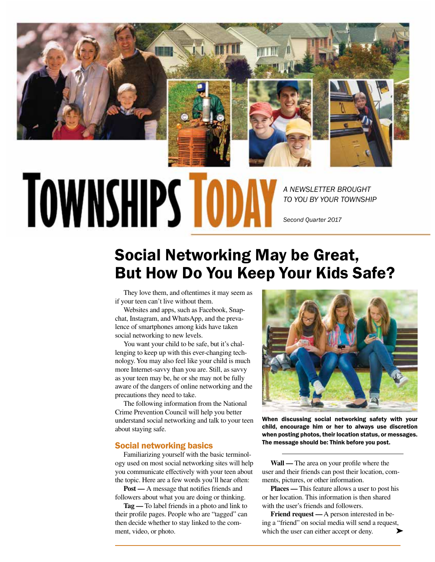

# **TOWNSHIPS TOD**

*A NEWSLETTER BROUGHT TO YOU BY YOUR TOWNSHIP*

*Second Quarter 2017*

# Social Networking May be Great, But How Do You Keep Your Kids Safe?

They love them, and oftentimes it may seem as if your teen can't live without them.

Websites and apps, such as Facebook, Snapchat, Instagram, and WhatsApp, and the prevalence of smartphones among kids have taken social networking to new levels.

You want your child to be safe, but it's challenging to keep up with this ever-changing technology. You may also feel like your child is much more Internet-savvy than you are. Still, as savvy as your teen may be, he or she may not be fully aware of the dangers of online networking and the precautions they need to take.

The following information from the National Crime Prevention Council will help you better understand social networking and talk to your teen about staying safe.

# Social networking basics

Familiarizing yourself with the basic terminology used on most social networking sites will help you communicate effectively with your teen about the topic. Here are a few words you'll hear often:

**Post —** A message that notifies friends and followers about what you are doing or thinking.

**Tag —** To label friends in a photo and link to their profile pages. People who are "tagged" can then decide whether to stay linked to the comment, video, or photo.



When discussing social networking safety with your child, encourage him or her to always use discretion when posting photos, their location status, or messages. The message should be: Think before you post.

**Wall —** The area on your profile where the user and their friends can post their location, comments, pictures, or other information.

**Places —** This feature allows a user to post his or her location. This information is then shared with the user's friends and followers.

**Friend request —** A person interested in being a "friend" on social media will send a request, which the user can either accept or deny.  $\blacktriangleright$